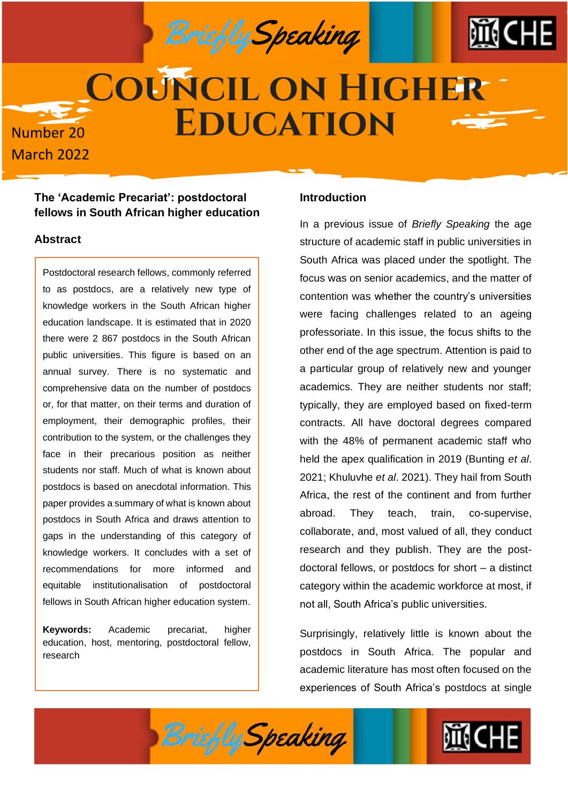Briefly Speaking



# **COUNCIL ON HIGHER EDUCATION Number 20**

#### **The 'Academic Precariat': postdoctoral fellows in South African higher education**

#### **Abstract**

**March 2022** 

Postdoctoral research fellows, commonly referred to as postdocs, are a relatively new type of knowledge workers in the South African higher education landscape. It is estimated that in 2020 there were 2 867 postdocs in the South African public universities. This figure is based on an annual survey. There is no systematic and comprehensive data on the number of postdocs or, for that matter, on their terms and duration of employment, their demographic profiles, their contribution to the system, or the challenges they face in their precarious position as neither students nor staff. Much of what is known about postdocs is based on anecdotal information. This paper provides a summary of what is known about postdocs in South Africa and draws attention to gaps in the understanding of this category of knowledge workers. It concludes with a set of recommendations for more informed and equitable institutionalisation of postdoctoral fellows in South African higher education system.

**Keywords:** Academic precariat, higher education, host, mentoring, postdoctoral fellow, research

#### **Introduction**

In a previous issue of *Briefly Speaking* the age structure of academic staff in public universities in South Africa was placed under the spotlight. The focus was on senior academics, and the matter of contention was whether the country's universities were facing challenges related to an ageing professoriate. In this issue, the focus shifts to the other end of the age spectrum. Attention is paid to a particular group of relatively new and younger academics. They are neither students nor staff; typically, they are employed based on fixed-term contracts. All have doctoral degrees compared with the 48% of permanent academic staff who held the apex qualification in 2019 (Bunting *et al*. 2021; Khuluvhe *et al*. 2021). They hail from South Africa, the rest of the continent and from further abroad. They teach, train, co-supervise, collaborate, and, most valued of all, they conduct research and they publish. They are the postdoctoral fellows, or postdocs for short – a distinct category within the academic workforce at most, if not all, South Africa's public universities.

Surprisingly, relatively little is known about the postdocs in South Africa. The popular and academic literature has most often focused on the experiences of South Africa's postdocs at single



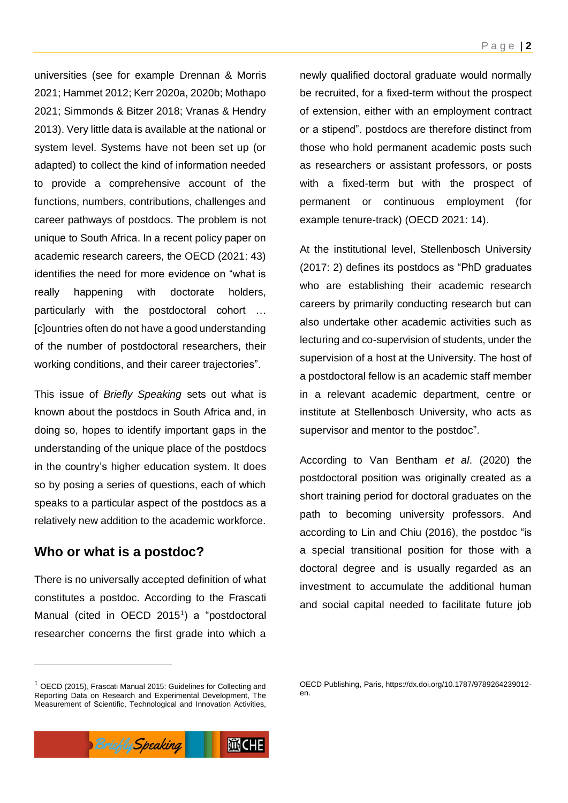universities (see for example Drennan & Morris 2021; Hammet 2012; Kerr 2020a, 2020b; Mothapo 2021; Simmonds & Bitzer 2018; Vranas & Hendry 2013). Very little data is available at the national or system level. Systems have not been set up (or adapted) to collect the kind of information needed to provide a comprehensive account of the functions, numbers, contributions, challenges and career pathways of postdocs. The problem is not unique to South Africa. In a recent policy paper on academic research careers, the OECD (2021: 43) identifies the need for more evidence on "what is really happening with doctorate holders, particularly with the postdoctoral cohort … [c]ountries often do not have a good understanding of the number of postdoctoral researchers, their working conditions, and their career trajectories".

This issue of *Briefly Speaking* sets out what is known about the postdocs in South Africa and, in doing so, hopes to identify important gaps in the understanding of the unique place of the postdocs in the country's higher education system. It does so by posing a series of questions, each of which speaks to a particular aspect of the postdocs as a relatively new addition to the academic workforce.

### **Who or what is a postdoc?**

There is no universally accepted definition of what constitutes a postdoc. According to the Frascati Manual (cited in OECD 2015<sup>1</sup>) a "postdoctoral researcher concerns the first grade into which a

newly qualified doctoral graduate would normally be recruited, for a fixed-term without the prospect of extension, either with an employment contract or a stipend". postdocs are therefore distinct from those who hold permanent academic posts such as researchers or assistant professors, or posts with a fixed-term but with the prospect of permanent or continuous employment (for example tenure-track) (OECD 2021: 14).

At the institutional level, Stellenbosch University (2017: 2) defines its postdocs as "PhD graduates who are establishing their academic research careers by primarily conducting research but can also undertake other academic activities such as lecturing and co-supervision of students, under the supervision of a host at the University. The host of a postdoctoral fellow is an academic staff member in a relevant academic department, centre or institute at Stellenbosch University, who acts as supervisor and mentor to the postdoc".

According to Van Bentham *et al*. (2020) the postdoctoral position was originally created as a short training period for doctoral graduates on the path to becoming university professors. And according to Lin and Chiu (2016), the postdoc "is a special transitional position for those with a doctoral degree and is usually regarded as an investment to accumulate the additional human and social capital needed to facilitate future job

OECD Publishing, Paris, https://dx.doi.org/10.1787/9789264239012 en.



<sup>&</sup>lt;sup>1</sup> OECD (2015), Frascati Manual 2015: Guidelines for Collecting and Reporting Data on Research and Experimental Development, The Measurement of Scientific, Technological and Innovation Activities,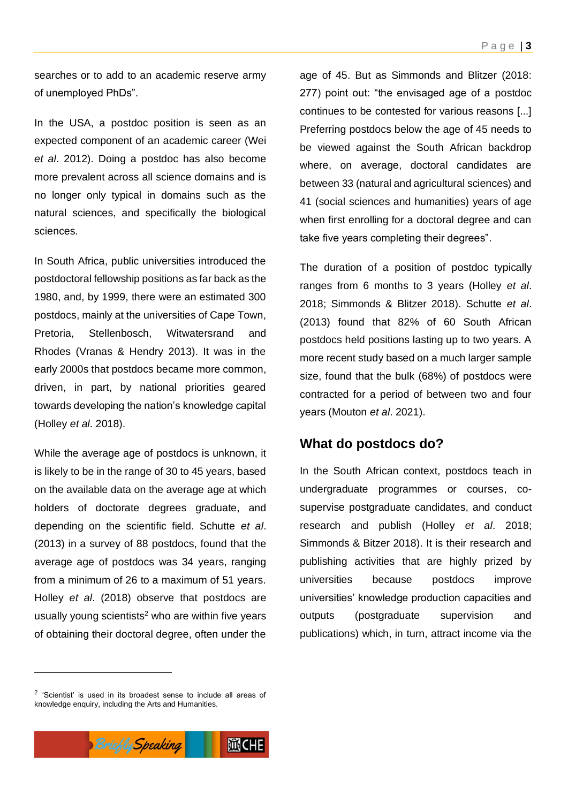searches or to add to an academic reserve army of unemployed PhDs".

In the USA, a postdoc position is seen as an expected component of an academic career (Wei *et al*. 2012). Doing a postdoc has also become more prevalent across all science domains and is no longer only typical in domains such as the natural sciences, and specifically the biological sciences.

In South Africa, public universities introduced the postdoctoral fellowship positions as far back as the 1980, and, by 1999, there were an estimated 300 postdocs, mainly at the universities of Cape Town, Pretoria, Stellenbosch, Witwatersrand and Rhodes (Vranas & Hendry 2013). It was in the early 2000s that postdocs became more common, driven, in part, by national priorities geared towards developing the nation's knowledge capital (Holley *et al*. 2018).

While the average age of postdocs is unknown, it is likely to be in the range of 30 to 45 years, based on the available data on the average age at which holders of doctorate degrees graduate, and depending on the scientific field. Schutte *et al*. (2013) in a survey of 88 postdocs, found that the average age of postdocs was 34 years, ranging from a minimum of 26 to a maximum of 51 years. Holley *et al*. (2018) observe that postdocs are usually young scientists $2$  who are within five years of obtaining their doctoral degree, often under the

age of 45. But as Simmonds and Blitzer (2018: 277) point out: "the envisaged age of a postdoc continues to be contested for various reasons [...] Preferring postdocs below the age of 45 needs to be viewed against the South African backdrop where, on average, doctoral candidates are between 33 (natural and agricultural sciences) and 41 (social sciences and humanities) years of age when first enrolling for a doctoral degree and can take five years completing their degrees".

The duration of a position of postdoc typically ranges from 6 months to 3 years (Holley *et al*. 2018; Simmonds & Blitzer 2018). Schutte *et al*. (2013) found that 82% of 60 South African postdocs held positions lasting up to two years. A more recent study based on a much larger sample size, found that the bulk (68%) of postdocs were contracted for a period of between two and four years (Mouton *et al*. 2021).

#### **What do postdocs do?**

In the South African context, postdocs teach in undergraduate programmes or courses, cosupervise postgraduate candidates, and conduct research and publish (Holley *et al*. 2018; Simmonds & Bitzer 2018). It is their research and publishing activities that are highly prized by universities because postdocs improve universities' knowledge production capacities and outputs (postgraduate supervision and publications) which, in turn, attract income via the

 $2$  'Scientist' is used in its broadest sense to include all areas of knowledge enquiry, including the Arts and Humanities.

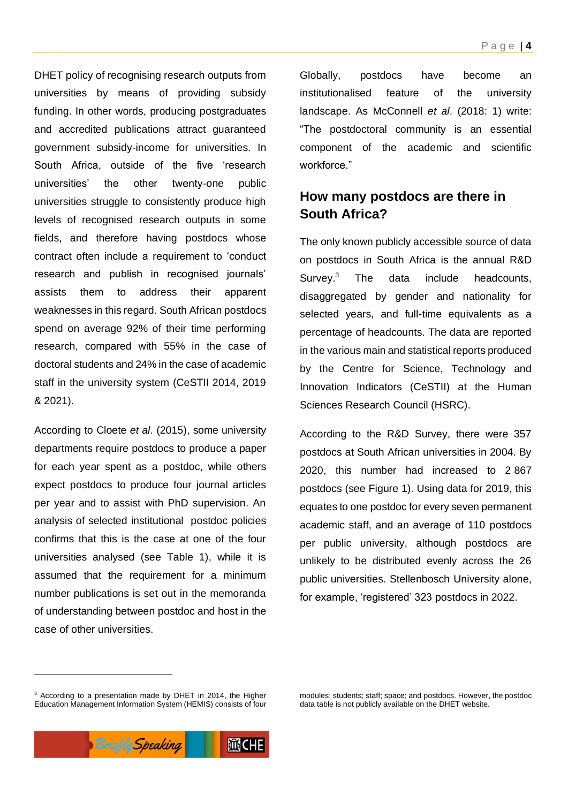DHET policy of recognising research outputs from universities by means of providing subsidy funding. In other words, producing postgraduates and accredited publications attract guaranteed government subsidy-income for universities. In South Africa, outside of the five 'research universities' the other twenty-one public universities struggle to consistently produce high levels of recognised research outputs in some fields, and therefore having postdocs whose contract often include a requirement to 'conduct research and publish in recognised journals' assists them to address their apparent weaknesses in this regard. South African postdocs spend on average 92% of their time performing research, compared with 55% in the case of doctoral students and 24% in the case of academic staff in the university system (CeSTII 2014, 2019 & 2021).

According to Cloete *et al*. (2015), some university departments require postdocs to produce a paper for each year spent as a postdoc, while others expect postdocs to produce four journal articles per year and to assist with PhD supervision. An analysis of selected institutional postdoc policies confirms that this is the case at one of the four universities analysed (see Table 1), while it is assumed that the requirement for a minimum number publications is set out in the memoranda of understanding between postdoc and host in the case of other universities.

Globally, postdocs have become an institutionalised feature of the university landscape. As McConnell *et al*. (2018: 1) write: "The postdoctoral community is an essential component of the academic and scientific workforce."

# **How many postdocs are there in South Africa?**

The only known publicly accessible source of data on postdocs in South Africa is the annual R&D Survey.<sup>3</sup> The data include headcounts, disaggregated by gender and nationality for selected years, and full-time equivalents as a percentage of headcounts. The data are reported in the various main and statistical reports produced by the Centre for Science, Technology and Innovation Indicators (CeSTII) at the Human Sciences Research Council (HSRC).

According to the R&D Survey, there were 357 postdocs at South African universities in 2004. By 2020, this number had increased to 2 867 postdocs (see Figure 1). Using data for 2019, this equates to one postdoc for every seven permanent academic staff, and an average of 110 postdocs per public university, although postdocs are unlikely to be distributed evenly across the 26 public universities. Stellenbosch University alone, for example, 'registered' 323 postdocs in 2022.

modules: students; staff; space; and postdocs. However, the postdoc data table is not publicly available on the DHET website.



<sup>&</sup>lt;sup>3</sup> According to a presentation made by DHET in 2014, the Higher Education Management Information System (HEMIS) consists of four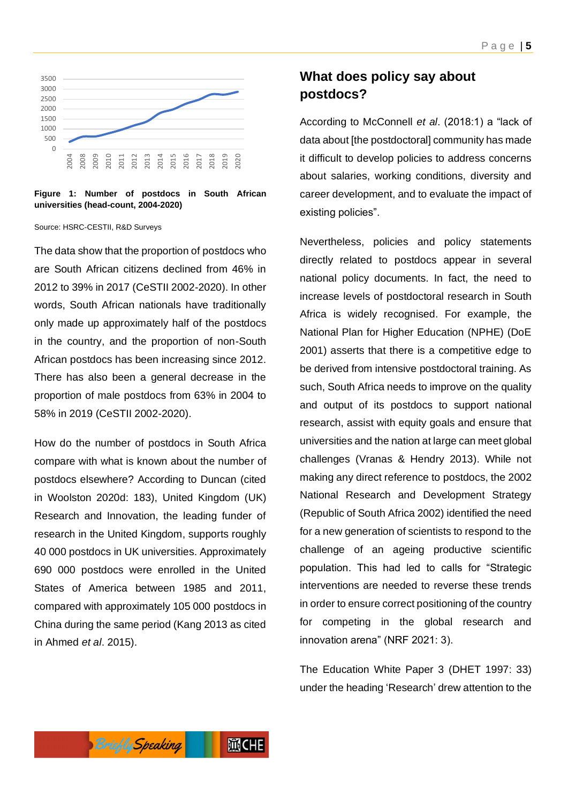

**Figure 1: Number of postdocs in South African universities (head-count, 2004-2020)**

Source: HSRC-CESTII, R&D Surveys

The data show that the proportion of postdocs who are South African citizens declined from 46% in 2012 to 39% in 2017 (CeSTII 2002-2020). In other words, South African nationals have traditionally only made up approximately half of the postdocs in the country, and the proportion of non-South African postdocs has been increasing since 2012. There has also been a general decrease in the proportion of male postdocs from 63% in 2004 to 58% in 2019 (CeSTII 2002-2020).

How do the number of postdocs in South Africa compare with what is known about the number of postdocs elsewhere? According to Duncan (cited in Woolston 2020d: 183), United Kingdom (UK) Research and Innovation, the leading funder of research in the United Kingdom, supports roughly 40 000 postdocs in UK universities. Approximately 690 000 postdocs were enrolled in the United States of America between 1985 and 2011, compared with approximately 105 000 postdocs in China during the same period (Kang 2013 as cited in Ahmed *et al*. 2015).

## **What does policy say about postdocs?**

According to McConnell *et al*. (2018:1) a "lack of data about [the postdoctoral] community has made it difficult to develop policies to address concerns about salaries, working conditions, diversity and career development, and to evaluate the impact of existing policies".

Nevertheless, policies and policy statements directly related to postdocs appear in several national policy documents. In fact, the need to increase levels of postdoctoral research in South Africa is widely recognised. For example, the National Plan for Higher Education (NPHE) (DoE 2001) asserts that there is a competitive edge to be derived from intensive postdoctoral training. As such, South Africa needs to improve on the quality and output of its postdocs to support national research, assist with equity goals and ensure that universities and the nation at large can meet global challenges (Vranas & Hendry 2013). While not making any direct reference to postdocs, the 2002 National Research and Development Strategy (Republic of South Africa 2002) identified the need for a new generation of scientists to respond to the challenge of an ageing productive scientific population. This had led to calls for "Strategic interventions are needed to reverse these trends in order to ensure correct positioning of the country for competing in the global research and innovation arena" (NRF 2021: 3).

The Education White Paper 3 (DHET 1997: 33) under the heading 'Research' drew attention to the

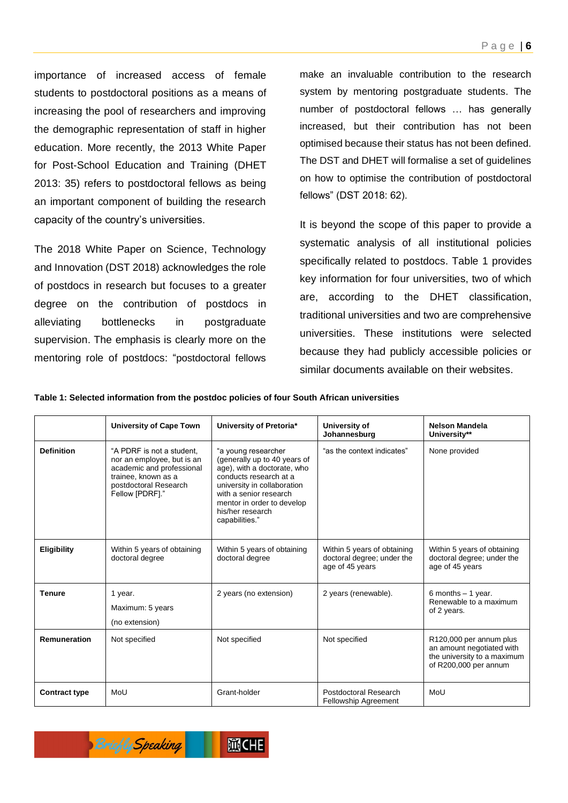importance of increased access of female students to postdoctoral positions as a means of increasing the pool of researchers and improving the demographic representation of staff in higher education. More recently, the 2013 White Paper for Post-School Education and Training (DHET 2013: 35) refers to postdoctoral fellows as being an important component of building the research capacity of the country's universities.

The 2018 White Paper on Science, Technology and Innovation (DST 2018) acknowledges the role of postdocs in research but focuses to a greater degree on the contribution of postdocs in alleviating bottlenecks in postgraduate supervision. The emphasis is clearly more on the mentoring role of postdocs: "postdoctoral fellows make an invaluable contribution to the research system by mentoring postgraduate students. The number of postdoctoral fellows … has generally increased, but their contribution has not been optimised because their status has not been defined. The DST and DHET will formalise a set of guidelines on how to optimise the contribution of postdoctoral fellows" (DST 2018: 62).

It is beyond the scope of this paper to provide a systematic analysis of all institutional policies specifically related to postdocs. Table 1 provides key information for four universities, two of which are, according to the DHET classification, traditional universities and two are comprehensive universities. These institutions were selected because they had publicly accessible policies or similar documents available on their websites.

**Table 1: Selected information from the postdoc policies of four South African universities**

|                      | <b>University of Cape Town</b>                                                                                                                          | University of Pretoria*                                                                                                                                                                                                                   | University of<br>Johannesburg                                                | Nelson Mandela<br>University**                                                                               |
|----------------------|---------------------------------------------------------------------------------------------------------------------------------------------------------|-------------------------------------------------------------------------------------------------------------------------------------------------------------------------------------------------------------------------------------------|------------------------------------------------------------------------------|--------------------------------------------------------------------------------------------------------------|
| <b>Definition</b>    | "A PDRF is not a student,<br>nor an employee, but is an<br>academic and professional<br>trainee, known as a<br>postdoctoral Research<br>Fellow [PDRF]." | "a young researcher<br>(generally up to 40 years of<br>age), with a doctorate, who<br>conducts research at a<br>university in collaboration<br>with a senior research<br>mentor in order to develop<br>his/her research<br>capabilities." | "as the context indicates"                                                   | None provided                                                                                                |
| Eligibility          | Within 5 years of obtaining<br>doctoral degree                                                                                                          | Within 5 years of obtaining<br>doctoral degree                                                                                                                                                                                            | Within 5 years of obtaining<br>doctoral degree; under the<br>age of 45 years | Within 5 years of obtaining<br>doctoral degree; under the<br>age of 45 years                                 |
| <b>Tenure</b>        | 1 year.<br>Maximum: 5 years<br>(no extension)                                                                                                           | 2 years (no extension)                                                                                                                                                                                                                    | 2 years (renewable).                                                         | 6 months $-1$ year.<br>Renewable to a maximum<br>of 2 years.                                                 |
| Remuneration         | Not specified                                                                                                                                           | Not specified                                                                                                                                                                                                                             | Not specified                                                                | R120,000 per annum plus<br>an amount negotiated with<br>the university to a maximum<br>of R200,000 per annum |
| <b>Contract type</b> | MoU                                                                                                                                                     | Grant-holder                                                                                                                                                                                                                              | Postdoctoral Research<br><b>Fellowship Agreement</b>                         | MoU                                                                                                          |

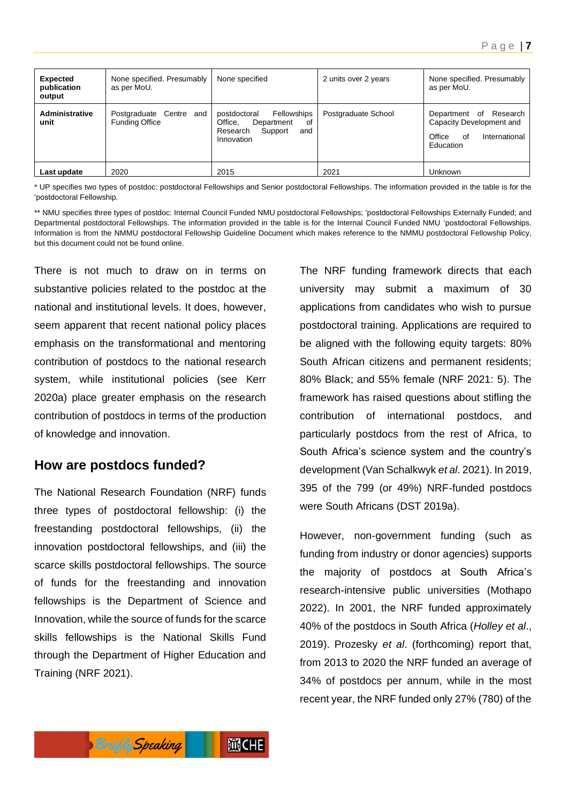| <b>Expected</b><br>publication<br>output | None specified. Presumably<br>as per MoU.        | None specified                                                                                         | 2 units over 2 years | None specified. Presumably<br>as per MoU.                                                           |
|------------------------------------------|--------------------------------------------------|--------------------------------------------------------------------------------------------------------|----------------------|-----------------------------------------------------------------------------------------------------|
| Administrative<br>unit                   | Postgraduate Centre and<br><b>Funding Office</b> | Fellowships<br>postdoctoral<br>Office.<br>Department<br>of<br>Research<br>Support<br>and<br>Innovation | Postgraduate School  | of Research<br>Department<br>Capacity Development and<br>Office<br>International<br>οf<br>Education |
| Last update                              | 2020                                             | 2015                                                                                                   | 2021                 | Unknown                                                                                             |

\* UP specifies two types of postdoc: postdoctoral Fellowships and Senior postdoctoral Fellowships. The information provided in the table is for the 'postdoctoral Fellowship.

\*\* NMU specifies three types of postdoc: Internal Council Funded NMU postdoctoral Fellowships; 'postdoctoral Fellowships Externally Funded; and Departmental postdoctoral Fellowships. The information provided in the table is for the Internal Council Funded NMU 'postdoctoral Fellowships. Information is from the NMMU postdoctoral Fellowship Guideline Document which makes reference to the NMMU postdoctoral Fellowship Policy, but this document could not be found online.

There is not much to draw on in terms on substantive policies related to the postdoc at the national and institutional levels. It does, however, seem apparent that recent national policy places emphasis on the transformational and mentoring contribution of postdocs to the national research system, while institutional policies (see Kerr 2020a) place greater emphasis on the research contribution of postdocs in terms of the production of knowledge and innovation.

### **How are postdocs funded?**

The National Research Foundation (NRF) funds three types of postdoctoral fellowship: (i) the freestanding postdoctoral fellowships, (ii) the innovation postdoctoral fellowships, and (iii) the scarce skills postdoctoral fellowships. The source of funds for the freestanding and innovation fellowships is the Department of Science and Innovation, while the source of funds for the scarce skills fellowships is the National Skills Fund through the Department of Higher Education and Training (NRF 2021).

The NRF funding framework directs that each university may submit a maximum of 30 applications from candidates who wish to pursue postdoctoral training. Applications are required to be aligned with the following equity targets: 80% South African citizens and permanent residents; 80% Black; and 55% female (NRF 2021: 5). The framework has raised questions about stifling the contribution of international postdocs, and particularly postdocs from the rest of Africa, to South Africa's science system and the country's development (Van Schalkwyk *et al*. 2021). In 2019, 395 of the 799 (or 49%) NRF-funded postdocs were South Africans (DST 2019a).

However, non-government funding (such as funding from industry or donor agencies) supports the majority of postdocs at South Africa's research-intensive public universities (Mothapo 2022). In 2001, the NRF funded approximately 40% of the postdocs in South Africa (*Holley et al*., 2019). Prozesky *et al*. (forthcoming) report that, from 2013 to 2020 the NRF funded an average of 34% of postdocs per annum, while in the most recent year, the NRF funded only 27% (780) of the

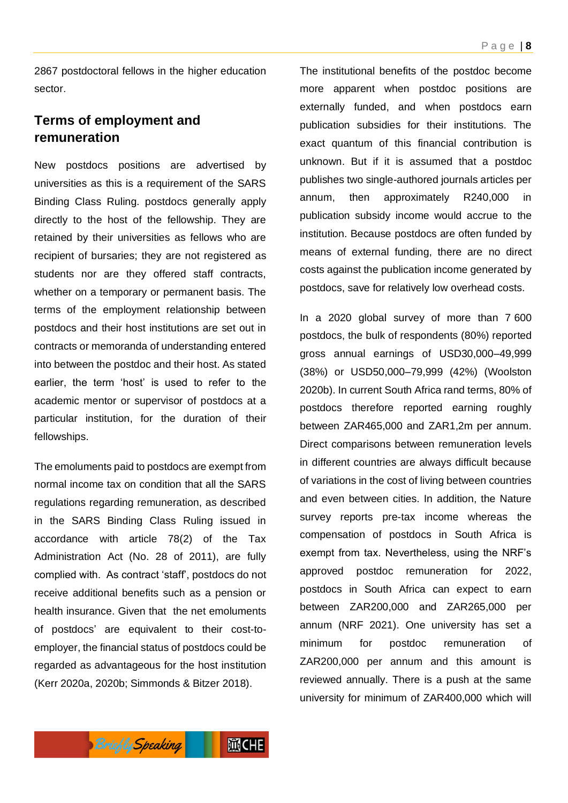2867 postdoctoral fellows in the higher education sector.

# **Terms of employment and remuneration**

New postdocs positions are advertised by universities as this is a requirement of the SARS Binding Class Ruling. postdocs generally apply directly to the host of the fellowship. They are retained by their universities as fellows who are recipient of bursaries; they are not registered as students nor are they offered staff contracts, whether on a temporary or permanent basis. The terms of the employment relationship between postdocs and their host institutions are set out in contracts or memoranda of understanding entered into between the postdoc and their host. As stated earlier, the term 'host' is used to refer to the academic mentor or supervisor of postdocs at a particular institution, for the duration of their fellowships.

The emoluments paid to postdocs are exempt from normal income tax on condition that all the SARS regulations regarding remuneration, as described in the SARS Binding Class Ruling issued in accordance with article 78(2) of the Tax Administration Act (No. 28 of 2011), are fully complied with. As contract 'staff', postdocs do not receive additional benefits such as a pension or health insurance. Given that the net emoluments of postdocs' are equivalent to their cost-toemployer, the financial status of postdocs could be regarded as advantageous for the host institution (Kerr 2020a, 2020b; Simmonds & Bitzer 2018).

The institutional benefits of the postdoc become more apparent when postdoc positions are externally funded, and when postdocs earn publication subsidies for their institutions. The exact quantum of this financial contribution is unknown. But if it is assumed that a postdoc publishes two single-authored journals articles per annum, then approximately R240,000 in publication subsidy income would accrue to the institution. Because postdocs are often funded by means of external funding, there are no direct costs against the publication income generated by postdocs, save for relatively low overhead costs.

In a 2020 global survey of more than 7 600 postdocs, the bulk of respondents (80%) reported gross annual earnings of USD30,000–49,999 (38%) or USD50,000–79,999 (42%) (Woolston 2020b). In current South Africa rand terms, 80% of postdocs therefore reported earning roughly between ZAR465,000 and ZAR1,2m per annum. Direct comparisons between remuneration levels in different countries are always difficult because of variations in the cost of living between countries and even between cities. In addition, the Nature survey reports pre-tax income whereas the compensation of postdocs in South Africa is exempt from tax. Nevertheless, using the NRF's approved postdoc remuneration for 2022, postdocs in South Africa can expect to earn between ZAR200,000 and ZAR265,000 per annum (NRF 2021). One university has set a minimum for postdoc remuneration of ZAR200,000 per annum and this amount is reviewed annually. There is a push at the same university for minimum of ZAR400,000 which will

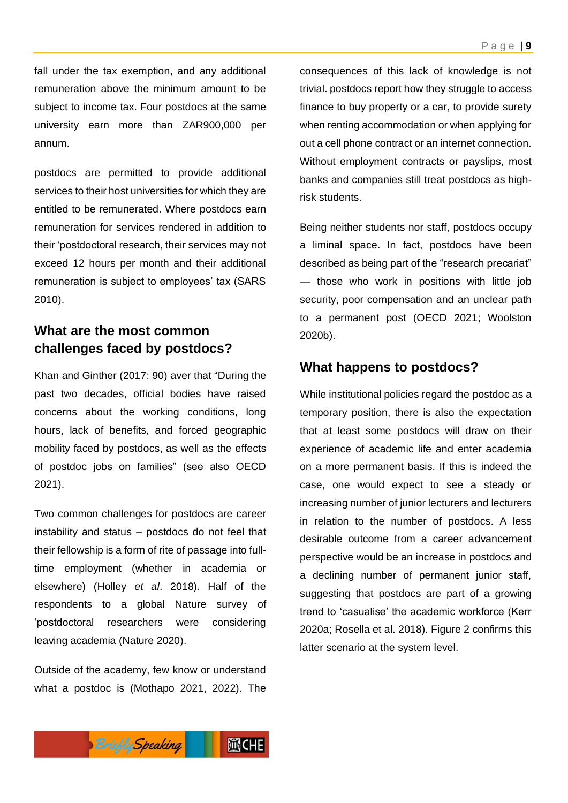fall under the tax exemption, and any additional remuneration above the minimum amount to be subject to income tax. Four postdocs at the same university earn more than ZAR900,000 per annum.

postdocs are permitted to provide additional services to their host universities for which they are entitled to be remunerated. Where postdocs earn remuneration for services rendered in addition to their 'postdoctoral research, their services may not exceed 12 hours per month and their additional remuneration is subject to employees' tax (SARS 2010).

# **What are the most common challenges faced by postdocs?**

Khan and Ginther (2017: 90) aver that "During the past two decades, official bodies have raised concerns about the working conditions, long hours, lack of benefits, and forced geographic mobility faced by postdocs, as well as the effects of postdoc jobs on families" (see also OECD 2021).

Two common challenges for postdocs are career instability and status – postdocs do not feel that their fellowship is a form of rite of passage into fulltime employment (whether in academia or elsewhere) (Holley *et al*. 2018). Half of the respondents to a global Nature survey of 'postdoctoral researchers were considering leaving academia (Nature 2020).

Outside of the academy, few know or understand what a postdoc is (Mothapo 2021, 2022). The

consequences of this lack of knowledge is not trivial. postdocs report how they struggle to access finance to buy property or a car, to provide surety when renting accommodation or when applying for out a cell phone contract or an internet connection. Without employment contracts or payslips, most banks and companies still treat postdocs as highrisk students.

Being neither students nor staff, postdocs occupy a liminal space. In fact, postdocs have been described as being part of the "research precariat" — those who work in positions with little job security, poor compensation and an unclear path to a permanent post (OECD 2021; Woolston 2020b).

#### **What happens to postdocs?**

While institutional policies regard the postdoc as a temporary position, there is also the expectation that at least some postdocs will draw on their experience of academic life and enter academia on a more permanent basis. If this is indeed the case, one would expect to see a steady or increasing number of junior lecturers and lecturers in relation to the number of postdocs. A less desirable outcome from a career advancement perspective would be an increase in postdocs and a declining number of permanent junior staff, suggesting that postdocs are part of a growing trend to 'casualise' the academic workforce (Kerr 2020a; Rosella et al. 2018). Figure 2 confirms this latter scenario at the system level.

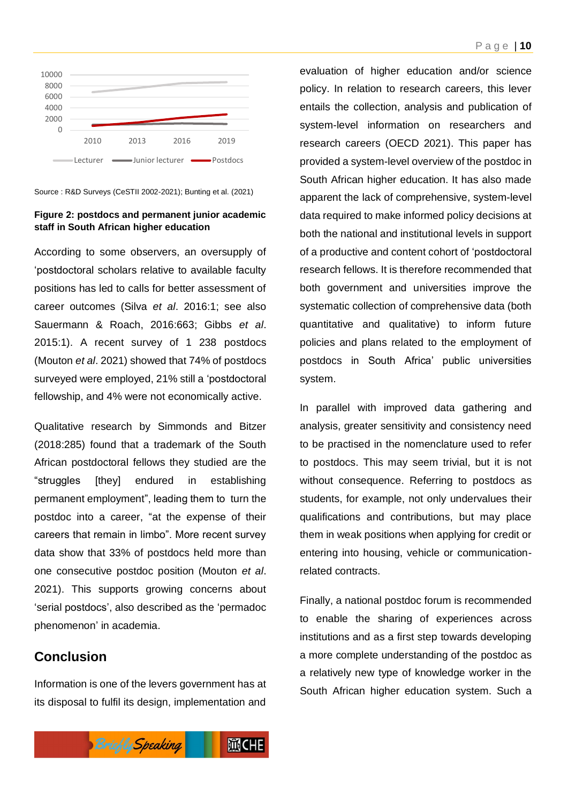

Source : R&D Surveys (CeSTII 2002-2021); Bunting et al. (2021)

#### **Figure 2: postdocs and permanent junior academic staff in South African higher education**

According to some observers, an oversupply of 'postdoctoral scholars relative to available faculty positions has led to calls for better assessment of career outcomes (Silva *et al*. 2016:1; see also Sauermann & Roach, 2016:663; Gibbs *et al*. 2015:1). A recent survey of 1 238 postdocs (Mouton *et al*. 2021) showed that 74% of postdocs surveyed were employed, 21% still a 'postdoctoral fellowship, and 4% were not economically active.

Qualitative research by Simmonds and Bitzer (2018:285) found that a trademark of the South African postdoctoral fellows they studied are the "struggles [they] endured in establishing permanent employment", leading them to turn the postdoc into a career, "at the expense of their careers that remain in limbo". More recent survey data show that 33% of postdocs held more than one consecutive postdoc position (Mouton *et al*. 2021). This supports growing concerns about 'serial postdocs', also described as the 'permadoc phenomenon' in academia.

## **Conclusion**

Information is one of the levers government has at its disposal to fulfil its design, implementation and



In parallel with improved data gathering and analysis, greater sensitivity and consistency need to be practised in the nomenclature used to refer to postdocs. This may seem trivial, but it is not without consequence. Referring to postdocs as students, for example, not only undervalues their qualifications and contributions, but may place them in weak positions when applying for credit or entering into housing, vehicle or communicationrelated contracts.

Finally, a national postdoc forum is recommended to enable the sharing of experiences across institutions and as a first step towards developing a more complete understanding of the postdoc as a relatively new type of knowledge worker in the South African higher education system. Such a

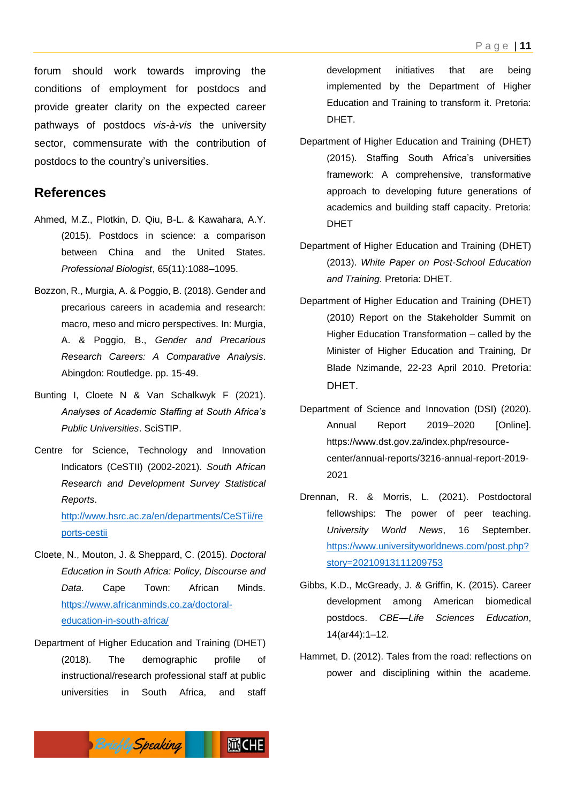forum should work towards improving the conditions of employment for postdocs and provide greater clarity on the expected career pathways of postdocs *vis-à-vis* the university sector, commensurate with the contribution of postdocs to the country's universities.

#### **References**

- Ahmed, M.Z., Plotkin, D. Qiu, B-L. & Kawahara, A.Y. (2015). Postdocs in science: a comparison between China and the United States. *Professional Biologist*, 65(11):1088–1095.
- Bozzon, R., Murgia, A. & Poggio, B. (2018). Gender and precarious careers in academia and research: macro, meso and micro perspectives. In: Murgia, A. & Poggio, B., *Gender and Precarious Research Careers: A Comparative Analysis*. Abingdon: Routledge. pp. 15-49.
- Bunting I, Cloete N & Van Schalkwyk F (2021). *Analyses of Academic Staffing at South Africa's Public Universities*. SciSTIP.
- Centre for Science, Technology and Innovation Indicators (CeSTII) (2002-2021). *South African Research and Development Survey Statistical Reports*. [http://www.hsrc.ac.za/en/departments/CeSTii/re](http://www.hsrc.ac.za/en/departments/CeSTii/reports-cestii) [ports-cestii](http://www.hsrc.ac.za/en/departments/CeSTii/reports-cestii)
- Cloete, N., Mouton, J. & Sheppard, C. (2015). *Doctoral Education in South Africa: Policy, Discourse and Data*. Cape Town: African Minds. [https://www.africanminds.co.za/doctoral](https://www.africanminds.co.za/doctoral-education-in-south-africa/)[education-in-south-africa/](https://www.africanminds.co.za/doctoral-education-in-south-africa/)
- Department of Higher Education and Training (DHET) (2018). The demographic profile of instructional/research professional staff at public universities in South Africa, and staff

development initiatives that are being implemented by the Department of Higher Education and Training to transform it. Pretoria: DHET.

- Department of Higher Education and Training (DHET) (2015). Staffing South Africa's universities framework: A comprehensive, transformative approach to developing future generations of academics and building staff capacity. Pretoria: DHET
- Department of Higher Education and Training (DHET) (2013). *White Paper on Post-School Education and Training*. Pretoria: DHET.
- Department of Higher Education and Training (DHET) (2010) Report on the Stakeholder Summit on Higher Education Transformation – called by the Minister of Higher Education and Training, Dr Blade Nzimande, 22-23 April 2010. Pretoria: DHET.
- Department of Science and Innovation (DSI) (2020). Annual Report 2019–2020 [Online]. https://www.dst.gov.za/index.php/resourcecenter/annual-reports/3216-annual-report-2019- 2021
- Drennan, R. & Morris, L. (2021). Postdoctoral fellowships: The power of peer teaching. *University World News*, 16 September. [https://www.universityworldnews.com/post.php?](https://www.universityworldnews.com/post.php?story=20210913111209753) [story=20210913111209753](https://www.universityworldnews.com/post.php?story=20210913111209753)
- Gibbs, K.D., McGready, J. & Griffin, K. (2015). Career development among American biomedical postdocs. *CBE—Life Sciences Education*, 14(ar44):1–12.
- Hammet, D. (2012). Tales from the road: reflections on power and disciplining within the academe.

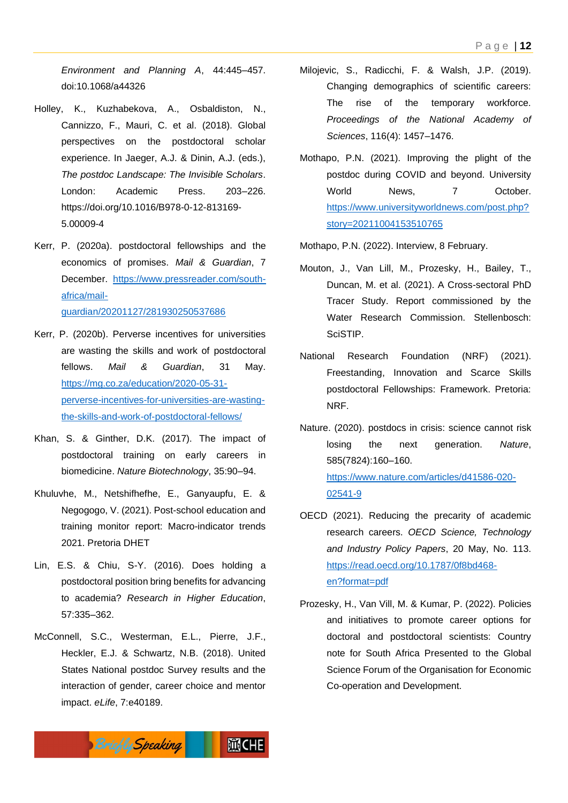*Environment and Planning A*, 44:445–457. doi:10.1068/a44326

- Holley, K., Kuzhabekova, A., Osbaldiston, N., Cannizzo, F., Mauri, C. et al. (2018). Global perspectives on the postdoctoral scholar experience. In Jaeger, A.J. & Dinin, A.J. (eds.), *The postdoc Landscape: The Invisible Scholars*. London: Academic Press. 203–226. https://doi.org/10.1016/B978-0-12-813169- 5.00009-4
- Kerr, P. (2020a). postdoctoral fellowships and the economics of promises. *Mail & Guardian*, 7 December. [https://www.pressreader.com/south](https://www.pressreader.com/south-africa/mail-guardian/20201127/281930250537686)[africa/mail](https://www.pressreader.com/south-africa/mail-guardian/20201127/281930250537686)[guardian/20201127/281930250537686](https://www.pressreader.com/south-africa/mail-guardian/20201127/281930250537686)
- Kerr, P. (2020b). Perverse incentives for universities are wasting the skills and work of postdoctoral fellows. *Mail & Guardian*, 31 May. [https://mg.co.za/education/2020-05-31](https://mg.co.za/education/2020-05-31-perverse-incentives-for-universities-are-wasting-the-skills-and-work-of-postdoctoral-fellows/) [perverse-incentives-for-universities-are-wasting](https://mg.co.za/education/2020-05-31-perverse-incentives-for-universities-are-wasting-the-skills-and-work-of-postdoctoral-fellows/)[the-skills-and-work-of-postdoctoral-fellows/](https://mg.co.za/education/2020-05-31-perverse-incentives-for-universities-are-wasting-the-skills-and-work-of-postdoctoral-fellows/)
- Khan, S. & Ginther, D.K. (2017). The impact of postdoctoral training on early careers in biomedicine. *Nature Biotechnology*, 35:90–94.
- Khuluvhe, M., Netshifhefhe, E., Ganyaupfu, E. & Negogogo, V. (2021). Post-school education and training monitor report: Macro-indicator trends 2021. Pretoria DHET
- Lin, E.S. & Chiu, S-Y. (2016). Does holding a postdoctoral position bring benefits for advancing to academia? *Research in Higher Education*, 57:335–362.
- McConnell, S.C., Westerman, E.L., Pierre, J.F., Heckler, E.J. & Schwartz, N.B. (2018). United States National postdoc Survey results and the interaction of gender, career choice and mentor impact. *eLife*, 7:e40189.
- Milojevic, S., Radicchi, F. & Walsh, J.P. (2019). Changing demographics of scientific careers: The rise of the temporary workforce. *Proceedings of the National Academy of Sciences*, 116(4): 1457–1476.
- Mothapo, P.N. (2021). Improving the plight of the postdoc during COVID and beyond. University World News. 7 October. [https://www.universityworldnews.com/post.php?](https://www.universityworldnews.com/post.php?story=20211004153510765) [story=20211004153510765](https://www.universityworldnews.com/post.php?story=20211004153510765)

Mothapo, P.N. (2022). Interview, 8 February.

- Mouton, J., Van Lill, M., Prozesky, H., Bailey, T., Duncan, M. et al. (2021). A Cross-sectoral PhD Tracer Study. Report commissioned by the Water Research Commission. Stellenbosch: **SciSTIP**
- National Research Foundation (NRF) (2021). Freestanding, Innovation and Scarce Skills postdoctoral Fellowships: Framework. Pretoria: NRF.
- Nature. (2020). postdocs in crisis: science cannot risk losing the next generation. *Nature*, 585(7824):160–160. [https://www.nature.com/articles/d41586-020-](https://www.nature.com/articles/d41586-020-02541-9) [02541-9](https://www.nature.com/articles/d41586-020-02541-9)
- OECD (2021). Reducing the precarity of academic research careers. *OECD Science, Technology and Industry Policy Papers*, 20 May, No. 113. [https://read.oecd.org/10.1787/0f8bd468](https://read.oecd.org/10.1787/0f8bd468-en?format=pdf) [en?format=pdf](https://read.oecd.org/10.1787/0f8bd468-en?format=pdf)
- Prozesky, H., Van Vill, M. & Kumar, P. (2022). Policies and initiatives to promote career options for doctoral and postdoctoral scientists: Country note for South Africa Presented to the Global Science Forum of the Organisation for Economic Co-operation and Development.

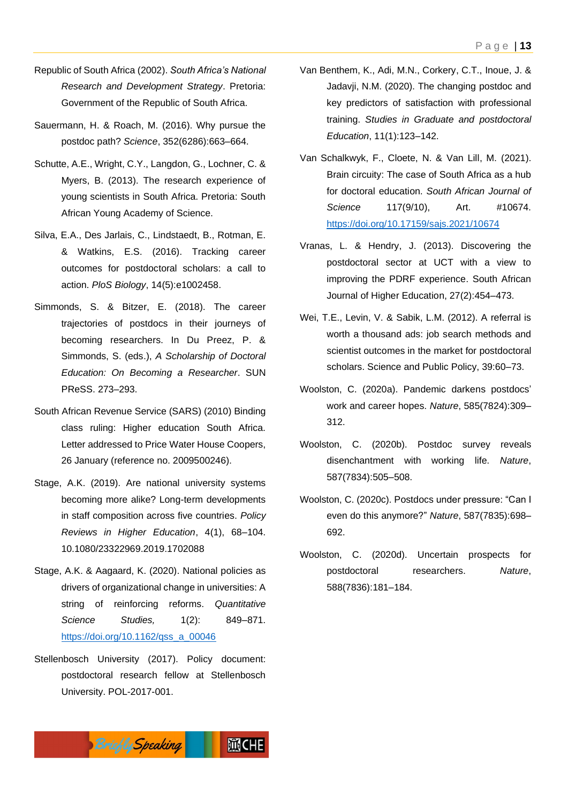- Republic of South Africa (2002). *South Africa's National Research and Development Strategy*. Pretoria: Government of the Republic of South Africa.
- Sauermann, H. & Roach, M. (2016). Why pursue the postdoc path? *Science*, 352(6286):663–664.
- Schutte, A.E., Wright, C.Y., Langdon, G., Lochner, C. & Myers, B. (2013). The research experience of young scientists in South Africa. Pretoria: South African Young Academy of Science.
- Silva, E.A., Des Jarlais, C., Lindstaedt, B., Rotman, E. & Watkins, E.S. (2016). Tracking career outcomes for postdoctoral scholars: a call to action. *PloS Biology*, 14(5):e1002458.
- Simmonds, S. & Bitzer, E. (2018). The career trajectories of postdocs in their journeys of becoming researchers. In Du Preez, P. & Simmonds, S. (eds.), *A Scholarship of Doctoral Education: On Becoming a Researcher*. SUN PReSS. 273–293.
- South African Revenue Service (SARS) (2010) Binding class ruling: Higher education South Africa. Letter addressed to Price Water House Coopers, 26 January (reference no. 2009500246).
- Stage, A.K. (2019). Are national university systems becoming more alike? Long-term developments in staff composition across five countries. *Policy Reviews in Higher Education*, 4(1), 68–104. 10.1080/23322969.2019.1702088
- Stage, A.K. & Aagaard, K. (2020). National policies as drivers of organizational change in universities: A string of reinforcing reforms. *Quantitative Science Studies,* 1(2): 849–871. [https://doi.org/10.1162/qss\\_a\\_00046](https://doi.org/10.1162/qss_a_00046)
- Stellenbosch University (2017). Policy document: postdoctoral research fellow at Stellenbosch University. POL-2017-001.
- Van Benthem, K., Adi, M.N., Corkery, C.T., Inoue, J. & Jadavji, N.M. (2020). The changing postdoc and key predictors of satisfaction with professional training. *Studies in Graduate and postdoctoral Education*, 11(1):123–142.
- Van Schalkwyk, F., Cloete, N. & Van Lill, M. (2021). Brain circuity: The case of South Africa as a hub for doctoral education. *South African Journal of Science* 117(9/10), Art. #10674. <https://doi.org/10.17159/sajs.2021/10674>
- Vranas, L. & Hendry, J. (2013). Discovering the postdoctoral sector at UCT with a view to improving the PDRF experience. South African Journal of Higher Education, 27(2):454–473.
- Wei, T.E., Levin, V. & Sabik, L.M. (2012). A referral is worth a thousand ads: job search methods and scientist outcomes in the market for postdoctoral scholars. Science and Public Policy, 39:60–73.
- Woolston, C. (2020a). Pandemic darkens postdocs' work and career hopes. *Nature*, 585(7824):309– 312.
- Woolston, C. (2020b). Postdoc survey reveals disenchantment with working life. *Nature*, 587(7834):505–508.
- Woolston, C. (2020c). Postdocs under pressure: "Can I even do this anymore?" *Nature*, 587(7835):698– 692.
- Woolston, C. (2020d). Uncertain prospects for postdoctoral researchers. *Nature*, 588(7836):181–184.